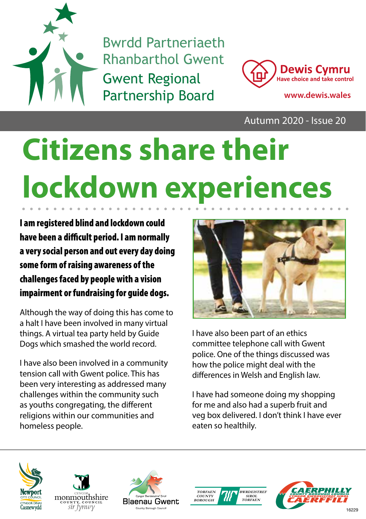

Bwrdd Partneriaeth Rhanbarthol Gwent Gwent Regional Partnership Board **www.dewis.wales**



Autumn 2020 - Issue 20

# **Citizens share their lockdown experiences**

I am registered blind and lockdown could have been a difficult period. I am normally a very social person and out every day doing some form of raising awareness of the challenges faced by people with a vision impairment or fundraising for guide dogs.

Although the way of doing this has come to a halt I have been involved in many virtual things. A virtual tea party held by Guide Dogs which smashed the world record.

I have also been involved in a community tension call with Gwent police. This has been very interesting as addressed many challenges within the community such as youths congregating, the different religions within our communities and homeless people.



I have also been part of an ethics committee telephone call with Gwent police. One of the things discussed was how the police might deal with the differences in Welsh and English law.

I have had someone doing my shopping for me and also had a superb fruit and veg box delivered. I don't think I have ever eaten so healthily.









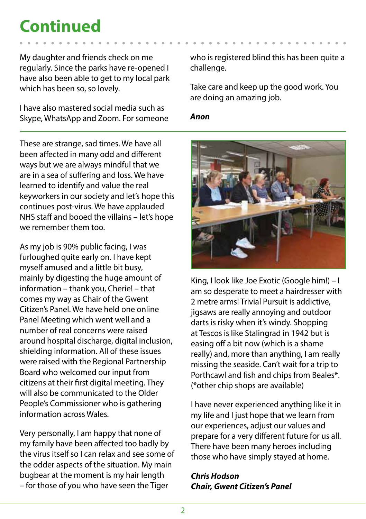### **Continued**

My daughter and friends check on me regularly. Since the parks have re-opened I have also been able to get to my local park which has been so, so lovely.

I have also mastered social media such as Skype, WhatsApp and Zoom. For someone

These are strange, sad times. We have all been affected in many odd and different ways but we are always mindful that we are in a sea of suffering and loss. We have learned to identify and value the real keyworkers in our society and let's hope this continues post-virus. We have applauded NHS staff and booed the villains – let's hope we remember them too.

As my job is 90% public facing, I was furloughed quite early on. I have kept myself amused and a little bit busy, mainly by digesting the huge amount of information – thank you, Cherie! – that comes my way as Chair of the Gwent Citizen's Panel. We have held one online Panel Meeting which went well and a number of real concerns were raised around hospital discharge, digital inclusion, shielding information. All of these issues were raised with the Regional Partnership Board who welcomed our input from citizens at their first digital meeting. They will also be communicated to the Older People's Commissioner who is gathering information across Wales.

Very personally, I am happy that none of my family have been affected too badly by the virus itself so I can relax and see some of the odder aspects of the situation. My main bugbear at the moment is my hair length – for those of you who have seen the Tiger

who is registered blind this has been quite a challenge.

Take care and keep up the good work. You are doing an amazing job.

#### *Anon*



King, I look like Joe Exotic (Google him!) – I am so desperate to meet a hairdresser with 2 metre arms! Trivial Pursuit is addictive, jigsaws are really annoying and outdoor darts is risky when it's windy. Shopping at Tescos is like Stalingrad in 1942 but is easing off a bit now (which is a shame really) and, more than anything, I am really missing the seaside. Can't wait for a trip to Porthcawl and fish and chips from Beales\*. (\*other chip shops are available)

I have never experienced anything like it in my life and I just hope that we learn from our experiences, adjust our values and prepare for a very different future for us all. There have been many heroes including those who have simply stayed at home.

#### *Chris Hodson Chair, Gwent Citizen's Panel*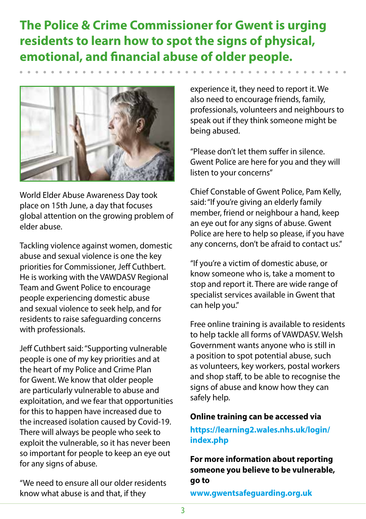#### **The Police & Crime Commissioner for Gwent is urging residents to learn how to spot the signs of physical, emotional, and financial abuse of older people.**



World Elder Abuse Awareness Day took place on 15th June, a day that focuses global attention on the growing problem of elder abuse.

Tackling violence against women, domestic abuse and sexual violence is one the key priorities for Commissioner, Jeff Cuthbert. He is working with the VAWDASV Regional Team and Gwent Police to encourage people experiencing domestic abuse and sexual violence to seek help, and for residents to raise safeguarding concerns with professionals.

Jeff Cuthbert said: "Supporting vulnerable people is one of my key priorities and at the heart of my Police and Crime Plan for Gwent. We know that older people are particularly vulnerable to abuse and exploitation, and we fear that opportunities for this to happen have increased due to the increased isolation caused by Covid-19. There will always be people who seek to exploit the vulnerable, so it has never been so important for people to keep an eye out for any signs of abuse.

"We need to ensure all our older residents know what abuse is and that, if they

experience it, they need to report it. We also need to encourage friends, family, professionals, volunteers and neighbours to speak out if they think someone might be being abused.

"Please don't let them suffer in silence. Gwent Police are here for you and they will listen to your concerns"

Chief Constable of Gwent Police, Pam Kelly, said: "If you're giving an elderly family member, friend or neighbour a hand, keep an eye out for any signs of abuse. Gwent Police are here to help so please, if you have any concerns, don't be afraid to contact us."

"If you're a victim of domestic abuse, or know someone who is, take a moment to stop and report it. There are wide range of specialist services available in Gwent that can help you."

Free online training is available to residents to help tackle all forms of VAWDASV. Welsh Government wants anyone who is still in a position to spot potential abuse, such as volunteers, key workers, postal workers and shop staff, to be able to recognise the signs of abuse and know how they can safely help.

#### **Online training can be accessed via**

#### **https://learning2.wales.nhs.uk/login/ index.php**

**For more information about reporting someone you believe to be vulnerable, go to** 

**www.gwentsafeguarding.org.uk**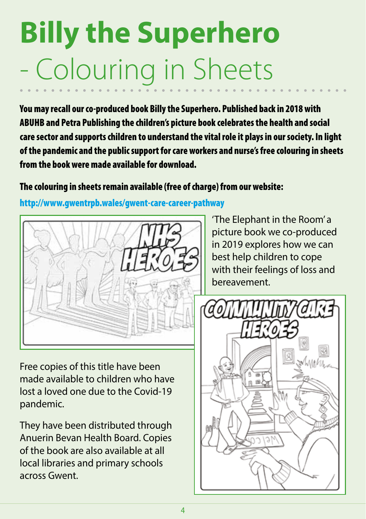# **Billy the Superhero**  - Colouring in Sheets

You may recall our co-produced book Billy the Superhero. Published back in 2018 with ABUHB and Petra Publishing the children's picture book celebrates the health and social care sector and supports children to understand the vital role it plays in our society. In light of the pandemic and the public support for care workers and nurse's free colouring in sheets from the book were made available for download.

#### The colouring in sheets remain available (free of charge) from our website:

http://www.gwentrpb.wales/gwent-care-career-pathway



Free copies of this title have been made available to children who have lost a loved one due to the Covid-19 pandemic.

They have been distributed through Anuerin Bevan Health Board. Copies of the book are also available at all local libraries and primary schools across Gwent.

'The Elephant in the Room' a picture book we co-produced in 2019 explores how we can best help children to cope with their feelings of loss and bereavement.

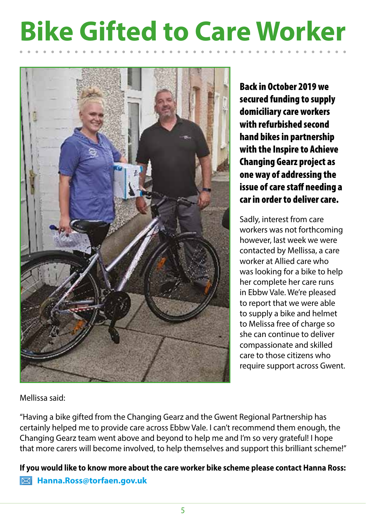### **Bike Gifted to Care Worker**



Back in October 2019 we secured funding to supply domiciliary care workers with refurbished second hand bikes in partnership with the Inspire to Achieve Changing Gearz project as one way of addressing the issue of care staff needing a car in order to deliver care.

Sadly, interest from care workers was not forthcoming however, last week we were contacted by Mellissa, a care worker at Allied care who was looking for a bike to help her complete her care runs in Ebbw Vale. We're pleased to report that we were able to supply a bike and helmet to Melissa free of charge so she can continue to deliver compassionate and skilled care to those citizens who require support across Gwent.

Mellissa said:

"Having a bike gifted from the Changing Gearz and the Gwent Regional Partnership has certainly helped me to provide care across Ebbw Vale. I can't recommend them enough, the Changing Gearz team went above and beyond to help me and I'm so very grateful! I hope that more carers will become involved, to help themselves and support this brilliant scheme!"

**If you would like to know more about the care worker bike scheme please contact Hanna Ross: Hanna.Ross@torfaen.gov.uk**